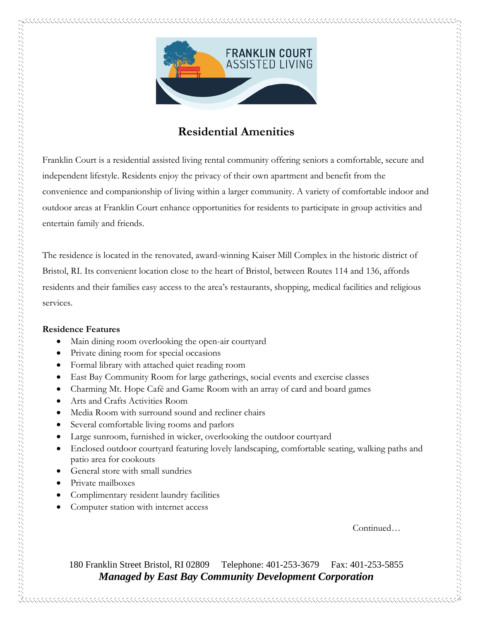

## **Residential Amenities**

Franklin Court is a residential assisted living rental community offering seniors a comfortable, secure and independent lifestyle. Residents enjoy the privacy of their own apartment and benefit from the convenience and companionship of living within a larger community. A variety of comfortable indoor and outdoor areas at Franklin Court enhance opportunities for residents to participate in group activities and entertain family and friends.

The residence is located in the renovated, award-winning Kaiser Mill Complex in the historic district of Bristol, RI. Its convenient location close to the heart of Bristol, between Routes 114 and 136, affords residents and their families easy access to the area's restaurants, shopping, medical facilities and religious services.

## **Residence Features**

- Main dining room overlooking the open-air courtyard
- Private dining room for special occasions
- Formal library with attached quiet reading room
- East Bay Community Room for large gatherings, social events and exercise classes
- Charming Mt. Hope Café and Game Room with an array of card and board games
- Arts and Crafts Activities Room
- Media Room with surround sound and recliner chairs
- Several comfortable living rooms and parlors
- Large sunroom, furnished in wicker, overlooking the outdoor courtyard
- Enclosed outdoor courtyard featuring lovely landscaping, comfortable seating, walking paths and patio area for cookouts
- General store with small sundries
- Private mailboxes
- Complimentary resident laundry facilities
- Computer station with internet access

Continued…

180 Franklin Street Bristol, RI 02809 Telephone: 401-253-3679 Fax: 401-253-5855 *Managed by East Bay Community Development Corporation*